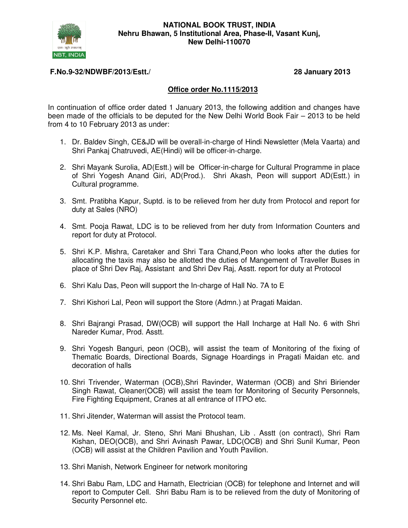

#### **F.No.9-32/NDWBF/2013/Estt./ 28 January 2013**

#### **Office order No.1115/2013**

In continuation of office order dated 1 January 2013, the following addition and changes have been made of the officials to be deputed for the New Delhi World Book Fair – 2013 to be held from 4 to 10 February 2013 as under:

- 1. Dr. Baldev Singh, CE&JD will be overall-in-charge of Hindi Newsletter (Mela Vaarta) and Shri Pankaj Chatruvedi, AE(Hindi) will be officer-in-charge.
- 2. Shri Mayank Surolia, AD(Estt.) will be Officer-in-charge for Cultural Programme in place of Shri Yogesh Anand Giri, AD(Prod.). Shri Akash, Peon will support AD(Estt.) in Cultural programme.
- 3. Smt. Pratibha Kapur, Suptd. is to be relieved from her duty from Protocol and report for duty at Sales (NRO)
- 4. Smt. Pooja Rawat, LDC is to be relieved from her duty from Information Counters and report for duty at Protocol.
- 5. Shri K.P. Mishra, Caretaker and Shri Tara Chand,Peon who looks after the duties for allocating the taxis may also be allotted the duties of Mangement of Traveller Buses in place of Shri Dev Raj, Assistant and Shri Dev Raj, Asstt. report for duty at Protocol
- 6. Shri Kalu Das, Peon will support the In-charge of Hall No. 7A to E
- 7. Shri Kishori Lal, Peon will support the Store (Admn.) at Pragati Maidan.
- 8. Shri Bajrangi Prasad, DW(OCB) will support the Hall Incharge at Hall No. 6 with Shri Nareder Kumar, Prod. Asstt.
- 9. Shri Yogesh Banguri, peon (OCB), will assist the team of Monitoring of the fixing of Thematic Boards, Directional Boards, Signage Hoardings in Pragati Maidan etc. and decoration of halls
- 10. Shri Trivender, Waterman (OCB),Shri Ravinder, Waterman (OCB) and Shri Biriender Singh Rawat, Cleaner(OCB) will assist the team for Monitoring of Security Personnels, Fire Fighting Equipment, Cranes at all entrance of ITPO etc.
- 11. Shri Jitender, Waterman will assist the Protocol team.
- 12. Ms. Neel Kamal, Jr. Steno, Shri Mani Bhushan, Lib . Asstt (on contract), Shri Ram Kishan, DEO(OCB), and Shri Avinash Pawar, LDC(OCB) and Shri Sunil Kumar, Peon (OCB) will assist at the Children Pavilion and Youth Pavilion.
- 13. Shri Manish, Network Engineer for network monitoring
- 14. Shri Babu Ram, LDC and Harnath, Electrician (OCB) for telephone and Internet and will report to Computer Cell. Shri Babu Ram is to be relieved from the duty of Monitoring of Security Personnel etc.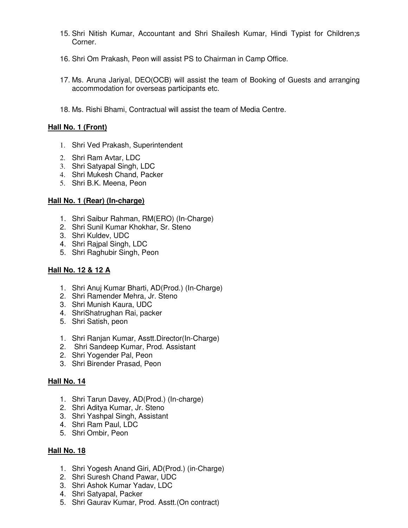- 15. Shri Nitish Kumar, Accountant and Shri Shailesh Kumar, Hindi Typist for Children;s Corner.
- 16. Shri Om Prakash, Peon will assist PS to Chairman in Camp Office.
- 17. Ms. Aruna Jariyal, DEO(OCB) will assist the team of Booking of Guests and arranging accommodation for overseas participants etc.
- 18. Ms. Rishi Bhami, Contractual will assist the team of Media Centre.

#### **Hall No. 1 (Front)**

- 1. Shri Ved Prakash, Superintendent
- 2. Shri Ram Avtar, LDC
- 3. Shri Satyapal Singh, LDC
- 4. Shri Mukesh Chand, Packer
- 5. Shri B.K. Meena, Peon

#### **Hall No. 1 (Rear) (In-charge)**

- 1. Shri Saibur Rahman, RM(ERO) (In-Charge)
- 2. Shri Sunil Kumar Khokhar, Sr. Steno
- 3. Shri Kuldev, UDC
- 4. Shri Rajpal Singh, LDC
- 5. Shri Raghubir Singh, Peon

## **Hall No. 12 & 12 A**

- 1. Shri Anuj Kumar Bharti, AD(Prod.) (In-Charge)
- 2. Shri Ramender Mehra, Jr. Steno
- 3. Shri Munish Kaura, UDC
- 4. ShriShatrughan Rai, packer
- 5. Shri Satish, peon
- 1. Shri Ranjan Kumar, Asstt.Director(In-Charge)
- 2. Shri Sandeep Kumar, Prod. Assistant
- 2. Shri Yogender Pal, Peon
- 3. Shri Birender Prasad, Peon

## **Hall No. 14**

- 1. Shri Tarun Davey, AD(Prod.) (In-charge)
- 2. Shri Aditya Kumar, Jr. Steno
- 3. Shri Yashpal Singh, Assistant
- 4. Shri Ram Paul, LDC
- 5. Shri Ombir, Peon

## **Hall No. 18**

- 1. Shri Yogesh Anand Giri, AD(Prod.) (in-Charge)
- 2. Shri Suresh Chand Pawar, UDC
- 3. Shri Ashok Kumar Yadav, LDC
- 4. Shri Satyapal, Packer
- 5. Shri Gaurav Kumar, Prod. Asstt.(On contract)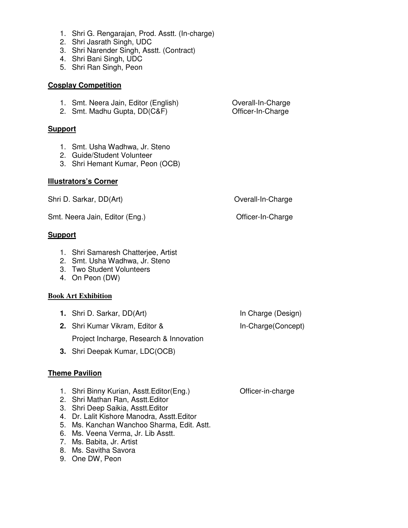- 1. Shri G. Rengarajan, Prod. Asstt. (In-charge)
- 2. Shri Jasrath Singh, UDC
- 3. Shri Narender Singh, Asstt. (Contract)
- 4. Shri Bani Singh, UDC
- 5. Shri Ran Singh, Peon

#### **Cosplay Competition**

- 1. Smt. Neera Jain, Editor (English) **Containers** Overall-In-Charge
- 2. Smt. Madhu Gupta, DD(C&F) Contract Contract Charge

#### **Support**

- 1. Smt. Usha Wadhwa, Jr. Steno
- 2. Guide/Student Volunteer
- 3. Shri Hemant Kumar, Peon (OCB)

#### **Illustrators's Corner**

Shri D. Sarkar, DD(Art) Charge Constanting Constanting Constanting Overall-In-Charge

Smt. Neera Jain, Editor (Eng.) Contract Contract Charge Contract Charge

#### **Support**

- 1. Shri Samaresh Chatterjee, Artist
- 2. Smt. Usha Wadhwa, Jr. Steno
- 3. Two Student Volunteers
- 4. On Peon (DW)

## **Book Art Exhibition**

- **1.** Shri D. Sarkar, DD(Art) **In Charge (Design)**
- **2.** Shri Kumar Vikram, Editor & In-Charge(Concept)

Project Incharge, Research & Innovation

**3.** Shri Deepak Kumar, LDC(OCB)

# **Theme Pavilion**

- 1. Shri Binny Kurian, Asstt.Editor(Eng.) Officer-in-charge
- 2. Shri Mathan Ran, Asstt.Editor
- 3. Shri Deep Saikia, Asstt.Editor
- 4. Dr. Lalit Kishore Manodra, Asstt.Editor
- 5. Ms. Kanchan Wanchoo Sharma, Edit. Astt.
- 6. Ms. Veena Verma, Jr. Lib Asstt.
- 7. Ms. Babita, Jr. Artist
- 8. Ms. Savitha Savora
- 9. One DW, Peon